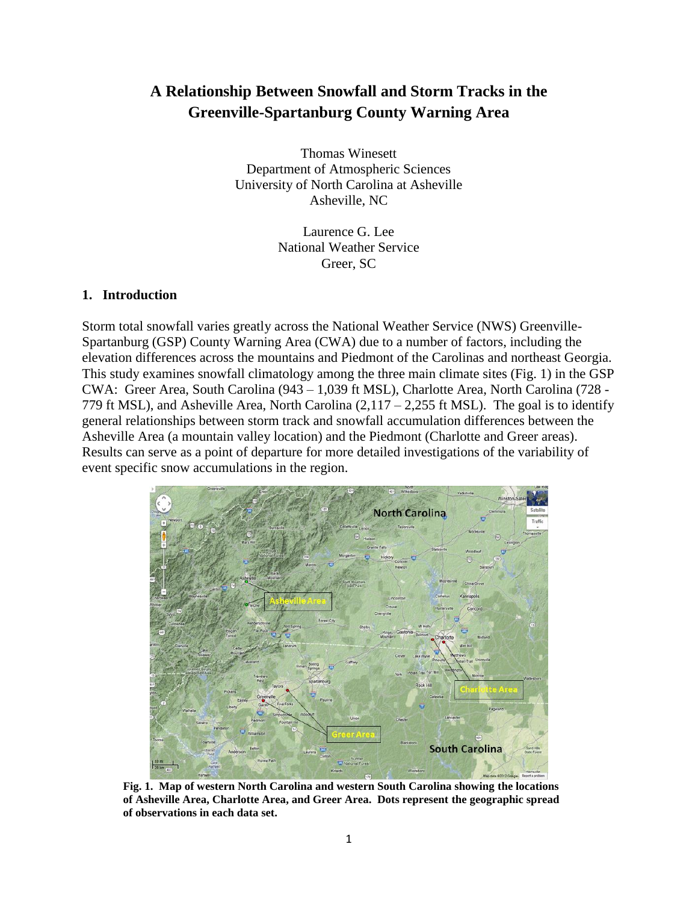# **A Relationship Between Snowfall and Storm Tracks in the Greenville-Spartanburg County Warning Area**

Thomas Winesett Department of Atmospheric Sciences University of North Carolina at Asheville Asheville, NC

> Laurence G. Lee National Weather Service Greer, SC

## **1. Introduction**

Storm total snowfall varies greatly across the National Weather Service (NWS) Greenville-Spartanburg (GSP) County Warning Area (CWA) due to a number of factors, including the elevation differences across the mountains and Piedmont of the Carolinas and northeast Georgia. This study examines snowfall climatology among the three main climate sites (Fig. 1) in the GSP CWA: Greer Area, South Carolina (943 – 1,039 ft MSL), Charlotte Area, North Carolina (728 - 779 ft MSL), and Asheville Area, North Carolina  $(2,117 - 2,255$  ft MSL). The goal is to identify general relationships between storm track and snowfall accumulation differences between the Asheville Area (a mountain valley location) and the Piedmont (Charlotte and Greer areas). Results can serve as a point of departure for more detailed investigations of the variability of event specific snow accumulations in the region.



**Fig. 1. Map of western North Carolina and western South Carolina showing the locations of Asheville Area, Charlotte Area, and Greer Area. Dots represent the geographic spread of observations in each data set.**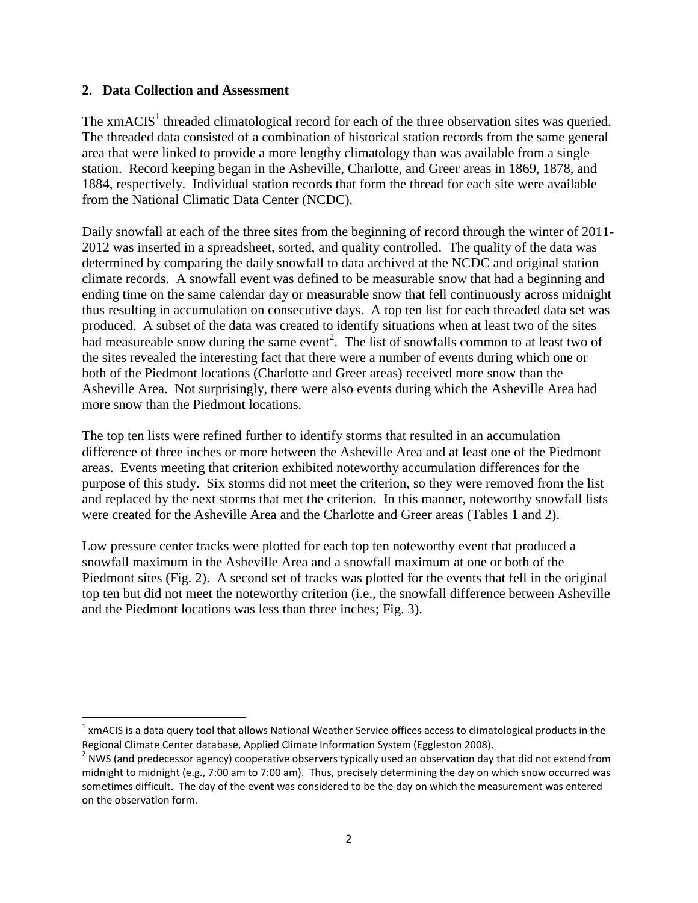## **2. Data Collection and Assessment**

The xmACIS<sup>1</sup> threaded climatological record for each of the three observation sites was queried. The threaded data consisted of a combination of historical station records from the same general area that were linked to provide a more lengthy climatology than was available from a single station. Record keeping began in the Asheville, Charlotte, and Greer areas in 1869, 1878, and 1884, respectively. Individual station records that form the thread for each site were available from the National Climatic Data Center (NCDC).

Daily snowfall at each of the three sites from the beginning of record through the winter of 2011- 2012 was inserted in a spreadsheet, sorted, and quality controlled. The quality of the data was determined by comparing the daily snowfall to data archived at the NCDC and original station climate records. A snowfall event was defined to be measurable snow that had a beginning and ending time on the same calendar day or measurable snow that fell continuously across midnight thus resulting in accumulation on consecutive days. A top ten list for each threaded data set was produced. A subset of the data was created to identify situations when at least two of the sites had measureable snow during the same event<sup>2</sup>. The list of snowfalls common to at least two of the sites revealed the interesting fact that there were a number of events during which one or both of the Piedmont locations (Charlotte and Greer areas) received more snow than the Asheville Area. Not surprisingly, there were also events during which the Asheville Area had more snow than the Piedmont locations.

The top ten lists were refined further to identify storms that resulted in an accumulation difference of three inches or more between the Asheville Area and at least one of the Piedmont areas. Events meeting that criterion exhibited noteworthy accumulation differences for the purpose of this study. Six storms did not meet the criterion, so they were removed from the list and replaced by the next storms that met the criterion. In this manner, noteworthy snowfall lists were created for the Asheville Area and the Charlotte and Greer areas (Tables 1 and 2).

Low pressure center tracks were plotted for each top ten noteworthy event that produced a snowfall maximum in the Asheville Area and a snowfall maximum at one or both of the Piedmont sites (Fig. 2). A second set of tracks was plotted for the events that fell in the original top ten but did not meet the noteworthy criterion (i.e., the snowfall difference between Asheville and the Piedmont locations was less than three inches; Fig. 3).

 $\overline{\phantom{a}}$  $^1$  xmACIS is a data query tool that allows National Weather Service offices access to climatological products in the Regional Climate Center database, Applied Climate Information System (Eggleston 2008).

 $^2$  NWS (and predecessor agency) cooperative observers typically used an observation day that did not extend from midnight to midnight (e.g., 7:00 am to 7:00 am). Thus, precisely determining the day on which snow occurred was sometimes difficult. The day of the event was considered to be the day on which the measurement was entered on the observation form.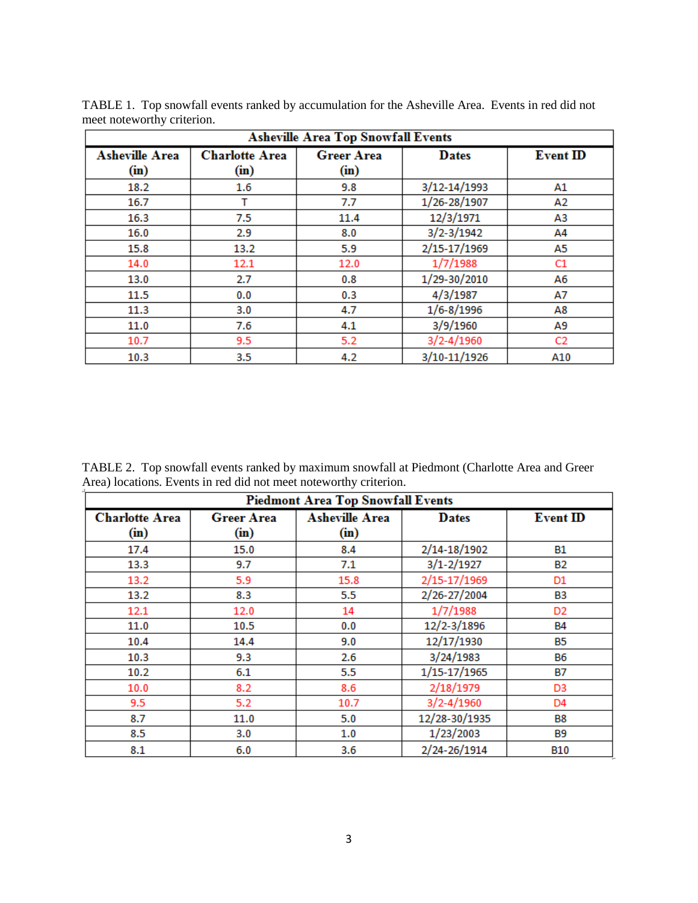| <b>Asheville Area Top Snowfall Events</b> |                               |                           |                |                 |
|-------------------------------------------|-------------------------------|---------------------------|----------------|-----------------|
| <b>Asheville Area</b><br>(in)             | <b>Charlotte Area</b><br>(in) | <b>Greer Area</b><br>(in) | <b>Dates</b>   | <b>Event ID</b> |
| 18.2                                      | 1.6                           | 9.8                       | 3/12-14/1993   | Α1              |
| 16.7                                      | т                             | 7.7                       | 1/26-28/1907   | А2              |
| 16.3                                      | 7.5                           | 11.4                      | 12/3/1971      | ΑЗ              |
| 16.0                                      | 2.9                           | 8.0                       | $3/2 - 3/1942$ | A4              |
| 15.8                                      | 13.2                          | 5.9                       | 2/15-17/1969   | А5              |
| 14.0                                      | 12.1                          | 12.0                      | 1/7/1988       | C1              |
| 13.0                                      | 2.7                           | 0.8                       | 1/29-30/2010   | A6              |
| 11.5                                      | 0.0                           | 0.3                       | 4/3/1987       | Α7              |
| 11.3                                      | 3.0                           | 4.7                       | $1/6 - 8/1996$ | Α8              |
| 11.0                                      | 7.6                           | 4.1                       | 3/9/1960       | А9              |
| 10.7                                      | 9.5                           | 5.2                       | $3/2 - 4/1960$ | C2              |
| 10.3                                      | 3.5                           | 4.2                       | 3/10-11/1926   | A10             |

TABLE 1. Top snowfall events ranked by accumulation for the Asheville Area. Events in red did not meet noteworthy criterion.

TABLE 2. Top snowfall events ranked by maximum snowfall at Piedmont (Charlotte Area and Greer Area) locations. Events in red did not meet noteworthy criterion.

| <b>Piedmont Area Top Snowfall Events</b> |                           |                              |                |                 |
|------------------------------------------|---------------------------|------------------------------|----------------|-----------------|
| <b>Charlotte Area</b><br>(in)            | <b>Greer Area</b><br>(in) | <b>Asheville Area</b><br>(m) | <b>Dates</b>   | <b>Event ID</b> |
| 17.4                                     | 15.0                      | 8.4                          | 2/14-18/1902   | B1              |
| 13.3                                     | 9.7                       | 7.1                          | $3/1 - 2/1927$ | <b>B2</b>       |
| 13.2                                     | 5.9                       | 15.8                         | 2/15-17/1969   | D1              |
| 13.2                                     | 8.3                       | 5.5                          | 2/26-27/2004   | B3              |
| 12.1                                     | 12.0                      | 14                           | 1/7/1988       | D <sub>2</sub>  |
| 11.0                                     | 10.5                      | 0.0                          | 12/2-3/1896    | <b>B4</b>       |
| 10.4                                     | 14.4                      | 9.0                          | 12/17/1930     | <b>B5</b>       |
| 10.3                                     | 9.3                       | 2.6                          | 3/24/1983      | <b>B6</b>       |
| 10.2                                     | 6.1                       | 5.5                          | 1/15-17/1965   | <b>B7</b>       |
| 10.0                                     | 8.2                       | 8.6                          | 2/18/1979      | D3              |
| 9.5                                      | 5.2                       | 10.7                         | $3/2 - 4/1960$ | D4              |
| 8.7                                      | 11.0                      | 5.0                          | 12/28-30/1935  | <b>B8</b>       |
| 8.5                                      | 3.0                       | 1.0                          | 1/23/2003      | B9              |
| 8.1                                      | 6.0                       | 3.6                          | 2/24-26/1914   | <b>B10</b>      |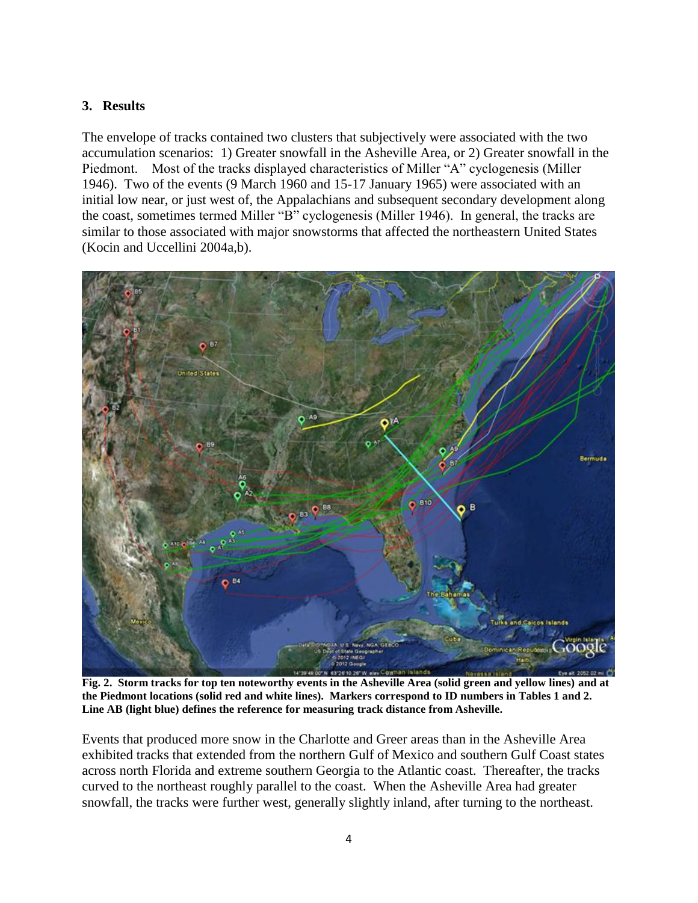# **3. Results**

The envelope of tracks contained two clusters that subjectively were associated with the two accumulation scenarios: 1) Greater snowfall in the Asheville Area, or 2) Greater snowfall in the Piedmont. Most of the tracks displayed characteristics of Miller "A" cyclogenesis (Miller 1946). Two of the events (9 March 1960 and 15-17 January 1965) were associated with an initial low near, or just west of, the Appalachians and subsequent secondary development along the coast, sometimes termed Miller "B" cyclogenesis (Miller 1946). In general, the tracks are similar to those associated with major snowstorms that affected the northeastern United States (Kocin and Uccellini 2004a,b).



**Fig. 2. Storm tracks for top ten noteworthy events in the Asheville Area (solid green and yellow lines) and at the Piedmont locations (solid red and white lines). Markers correspond to ID numbers in Tables 1 and 2. Line AB (light blue) defines the reference for measuring track distance from Asheville.**

Events that produced more snow in the Charlotte and Greer areas than in the Asheville Area exhibited tracks that extended from the northern Gulf of Mexico and southern Gulf Coast states across north Florida and extreme southern Georgia to the Atlantic coast. Thereafter, the tracks curved to the northeast roughly parallel to the coast. When the Asheville Area had greater snowfall, the tracks were further west, generally slightly inland, after turning to the northeast.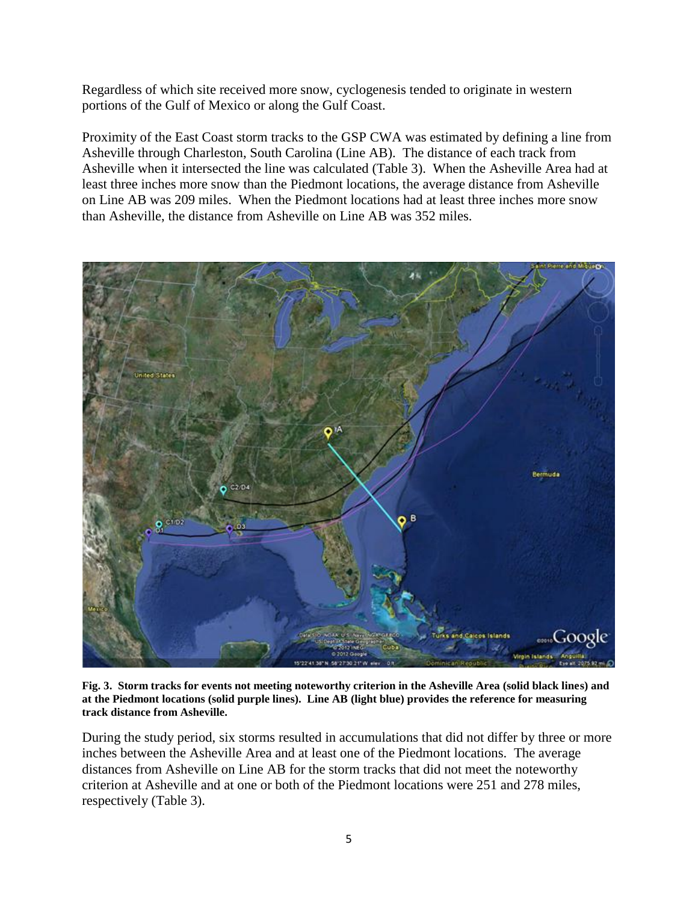Regardless of which site received more snow, cyclogenesis tended to originate in western portions of the Gulf of Mexico or along the Gulf Coast.

Proximity of the East Coast storm tracks to the GSP CWA was estimated by defining a line from Asheville through Charleston, South Carolina (Line AB). The distance of each track from Asheville when it intersected the line was calculated (Table 3). When the Asheville Area had at least three inches more snow than the Piedmont locations, the average distance from Asheville on Line AB was 209 miles. When the Piedmont locations had at least three inches more snow than Asheville, the distance from Asheville on Line AB was 352 miles.



**Fig. 3. Storm tracks for events not meeting noteworthy criterion in the Asheville Area (solid black lines) and at the Piedmont locations (solid purple lines). Line AB (light blue) provides the reference for measuring track distance from Asheville.**

During the study period, six storms resulted in accumulations that did not differ by three or more inches between the Asheville Area and at least one of the Piedmont locations. The average distances from Asheville on Line AB for the storm tracks that did not meet the noteworthy criterion at Asheville and at one or both of the Piedmont locations were 251 and 278 miles, respectively (Table 3).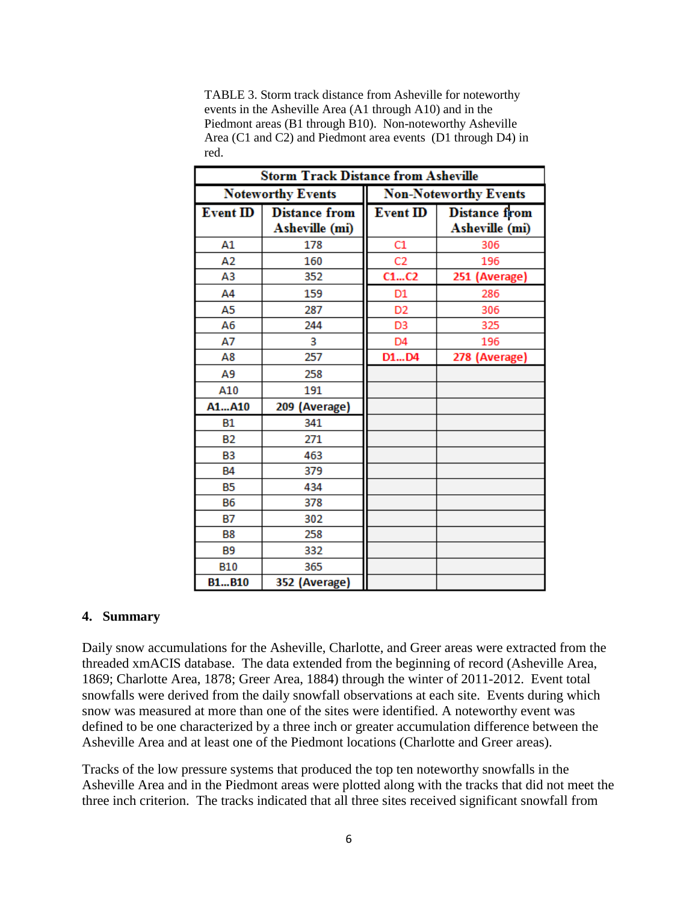TABLE 3. Storm track distance from Asheville for noteworthy events in the Asheville Area (A1 through A10) and in the Piedmont areas (B1 through B10). Non-noteworthy Asheville Area (C1 and C2) and Piedmont area events (D1 through D4) in red.

| <b>Storm Track Distance from Asheville</b> |                                        |                              |                                        |  |
|--------------------------------------------|----------------------------------------|------------------------------|----------------------------------------|--|
| <b>Noteworthy Events</b>                   |                                        | <b>Non-Noteworthy Events</b> |                                        |  |
| <b>Event ID</b>                            | <b>Distance from</b><br>Asheville (mi) | <b>Event ID</b>              | <b>Distance from</b><br>Asheville (mi) |  |
| A1                                         | 178                                    | C1                           | 306                                    |  |
| A <sub>2</sub>                             | 160                                    | C <sub>2</sub>               | 196                                    |  |
| A3                                         | 352                                    | C1C2                         | 251 (Average)                          |  |
| A4                                         | 159                                    | D1                           | 286                                    |  |
| A5                                         | 287                                    | D <sub>2</sub>               | 306                                    |  |
| А6                                         | 244                                    | D <sub>3</sub>               | 325                                    |  |
| А7                                         | 3                                      | D4                           | 196                                    |  |
| A8                                         | 257                                    | D1D4                         | 278 (Average)                          |  |
| Α9                                         | 258                                    |                              |                                        |  |
| A10                                        | 191                                    |                              |                                        |  |
| A1A10                                      | 209 (Average)                          |                              |                                        |  |
| <b>B1</b>                                  | 341                                    |                              |                                        |  |
| <b>B2</b>                                  | 271                                    |                              |                                        |  |
| B <sub>3</sub>                             | 463                                    |                              |                                        |  |
| <b>B4</b>                                  | 379                                    |                              |                                        |  |
| <b>B5</b>                                  | 434                                    |                              |                                        |  |
| <b>B6</b>                                  | 378                                    |                              |                                        |  |
| <b>B7</b>                                  | 302                                    |                              |                                        |  |
| <b>B8</b>                                  | 258                                    |                              |                                        |  |
| <b>B9</b>                                  | 332                                    |                              |                                        |  |
| <b>B10</b>                                 | 365                                    |                              |                                        |  |
| <b>B1B10</b>                               | 352 (Average)                          |                              |                                        |  |

#### **4. Summary**

Daily snow accumulations for the Asheville, Charlotte, and Greer areas were extracted from the threaded xmACIS database. The data extended from the beginning of record (Asheville Area, 1869; Charlotte Area, 1878; Greer Area, 1884) through the winter of 2011-2012. Event total snowfalls were derived from the daily snowfall observations at each site. Events during which snow was measured at more than one of the sites were identified. A noteworthy event was defined to be one characterized by a three inch or greater accumulation difference between the Asheville Area and at least one of the Piedmont locations (Charlotte and Greer areas).

Tracks of the low pressure systems that produced the top ten noteworthy snowfalls in the Asheville Area and in the Piedmont areas were plotted along with the tracks that did not meet the three inch criterion. The tracks indicated that all three sites received significant snowfall from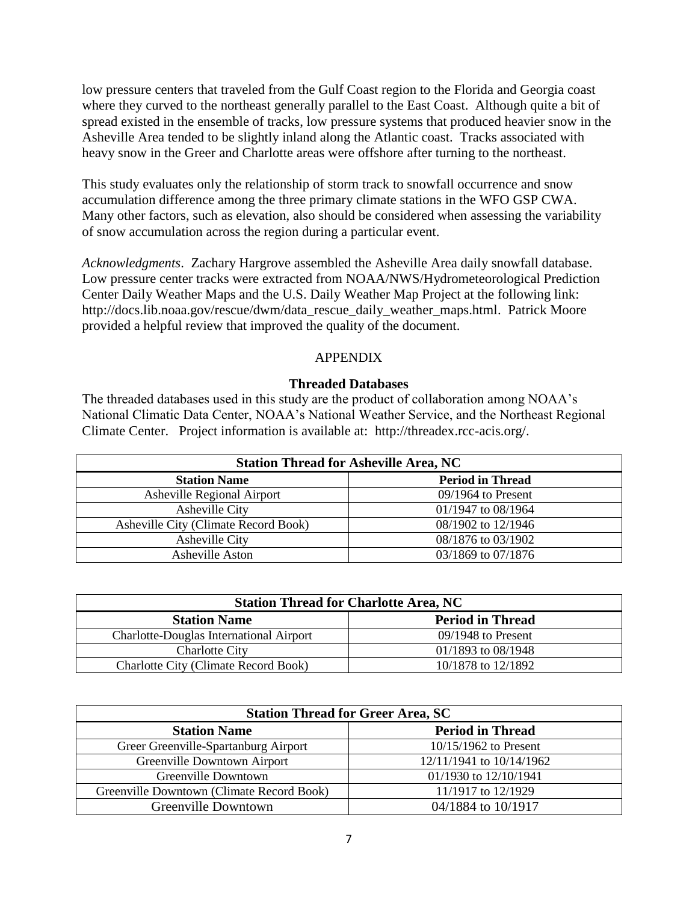low pressure centers that traveled from the Gulf Coast region to the Florida and Georgia coast where they curved to the northeast generally parallel to the East Coast. Although quite a bit of spread existed in the ensemble of tracks, low pressure systems that produced heavier snow in the Asheville Area tended to be slightly inland along the Atlantic coast. Tracks associated with heavy snow in the Greer and Charlotte areas were offshore after turning to the northeast.

This study evaluates only the relationship of storm track to snowfall occurrence and snow accumulation difference among the three primary climate stations in the WFO GSP CWA. Many other factors, such as elevation, also should be considered when assessing the variability of snow accumulation across the region during a particular event.

*Acknowledgments*. Zachary Hargrove assembled the Asheville Area daily snowfall database. Low pressure center tracks were extracted from NOAA/NWS/Hydrometeorological Prediction Center Daily Weather Maps and the U.S. Daily Weather Map Project at the following link: http://docs.lib.noaa.gov/rescue/dwm/data\_rescue\_daily\_weather\_maps.html. Patrick Moore provided a helpful review that improved the quality of the document.

## APPENDIX

## **Threaded Databases**

The threaded databases used in this study are the product of collaboration among NOAA's National Climatic Data Center, NOAA's National Weather Service, and the Northeast Regional Climate Center. Project information is available at: http://threadex.rcc-acis.org/.

| <b>Station Thread for Asheville Area, NC</b> |                         |  |
|----------------------------------------------|-------------------------|--|
| <b>Station Name</b>                          | <b>Period in Thread</b> |  |
| <b>Asheville Regional Airport</b>            | $09/1964$ to Present    |  |
| Asheville City                               | 01/1947 to 08/1964      |  |
| Asheville City (Climate Record Book)         | 08/1902 to 12/1946      |  |
| Asheville City                               | 08/1876 to 03/1902      |  |
| Asheville Aston                              | 03/1869 to 07/1876      |  |

| <b>Station Thread for Charlotte Area, NC</b> |                         |  |
|----------------------------------------------|-------------------------|--|
| <b>Station Name</b>                          | <b>Period in Thread</b> |  |
| Charlotte-Douglas International Airport      | $09/1948$ to Present    |  |
| <b>Charlotte City</b>                        | 01/1893 to 08/1948      |  |
| <b>Charlotte City (Climate Record Book)</b>  | 10/1878 to 12/1892      |  |

| <b>Station Thread for Greer Area, SC</b>  |                          |  |
|-------------------------------------------|--------------------------|--|
| <b>Station Name</b>                       | <b>Period in Thread</b>  |  |
| Greer Greenville-Spartanburg Airport      | $10/15/1962$ to Present  |  |
| Greenville Downtown Airport               | 12/11/1941 to 10/14/1962 |  |
| Greenville Downtown                       | 01/1930 to 12/10/1941    |  |
| Greenville Downtown (Climate Record Book) | 11/1917 to 12/1929       |  |
| Greenville Downtown                       | 04/1884 to 10/1917       |  |